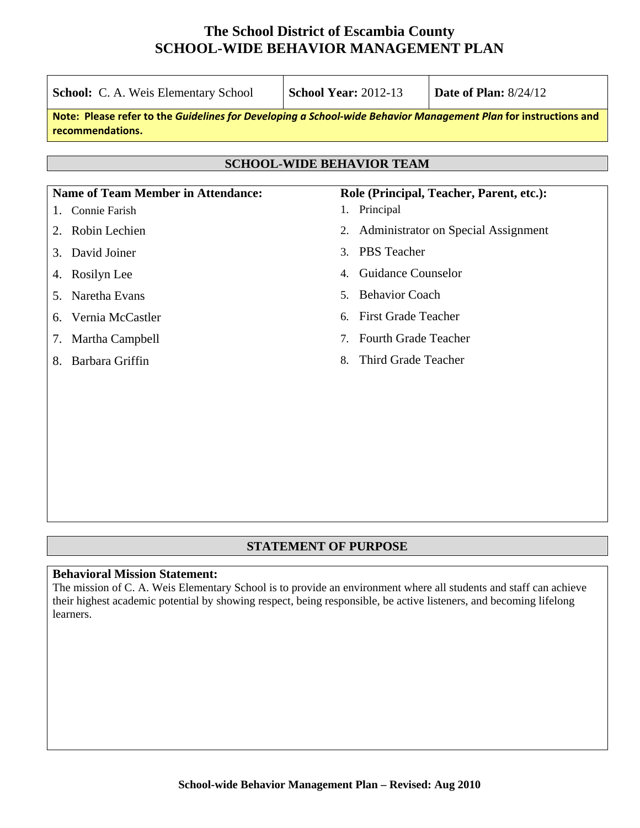| <b>School:</b> C. A. Weis Elementary School                                                                                         | <b>School Year: 2012-13</b>              | Date of Plan: $8/24/12$             |  |  |  |  |
|-------------------------------------------------------------------------------------------------------------------------------------|------------------------------------------|-------------------------------------|--|--|--|--|
| Note: Please refer to the Guidelines for Developing a School-wide Behavior Management Plan for instructions and<br>recommendations. |                                          |                                     |  |  |  |  |
|                                                                                                                                     |                                          |                                     |  |  |  |  |
| <b>SCHOOL-WIDE BEHAVIOR TEAM</b>                                                                                                    |                                          |                                     |  |  |  |  |
| <b>Name of Team Member in Attendance:</b>                                                                                           | Role (Principal, Teacher, Parent, etc.): |                                     |  |  |  |  |
| Connie Farish<br>1.                                                                                                                 | 1. Principal                             |                                     |  |  |  |  |
| Robin Lechien<br>2.                                                                                                                 | 2.                                       | Administrator on Special Assignment |  |  |  |  |
| David Joiner<br>3.                                                                                                                  | <b>PBS</b> Teacher<br>$3_{-}$            |                                     |  |  |  |  |
| Rosilyn Lee<br>4.                                                                                                                   | <b>Guidance Counselor</b><br>4.          |                                     |  |  |  |  |
| Naretha Evans<br>5.                                                                                                                 | <b>Behavior Coach</b><br>$5_{-}$         |                                     |  |  |  |  |
| Vernia McCastler<br>6.                                                                                                              | <b>First Grade Teacher</b><br>6.         |                                     |  |  |  |  |
| Martha Campbell<br>7.                                                                                                               | <b>Fourth Grade Teacher</b><br>7.        |                                     |  |  |  |  |
| Barbara Griffin<br>8.                                                                                                               | Third Grade Teacher<br>8.                |                                     |  |  |  |  |
|                                                                                                                                     |                                          |                                     |  |  |  |  |
|                                                                                                                                     |                                          |                                     |  |  |  |  |
|                                                                                                                                     |                                          |                                     |  |  |  |  |
|                                                                                                                                     |                                          |                                     |  |  |  |  |

## **STATEMENT OF PURPOSE**

### **Behavioral Mission Statement:**

The mission of C. A. Weis Elementary School is to provide an environment where all students and staff can achieve their highest academic potential by showing respect, being responsible, be active listeners, and becoming lifelong learners.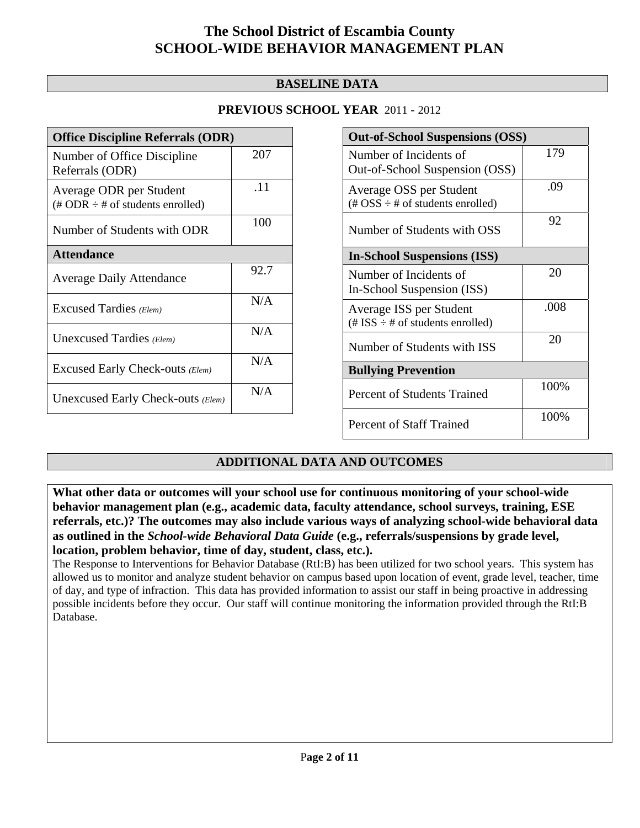## **BASELINE DATA**

## **PREVIOUS SCHOOL YEAR** 2011 - 2012

| <b>Office Discipline Referrals (ODR)</b>                                         |      |  |
|----------------------------------------------------------------------------------|------|--|
| Number of Office Discipline<br>Referrals (ODR)                                   | 207  |  |
| Average ODR per Student<br>$(\text{\# ODR} \div \text{\# of students enrolled})$ | .11  |  |
| Number of Students with ODR                                                      | 100  |  |
| <b>Attendance</b>                                                                |      |  |
| <b>Average Daily Attendance</b>                                                  | 92.7 |  |
| Excused Tardies (Elem)                                                           | N/A  |  |
| Unexcused Tardies (Elem)                                                         | N/A  |  |
| Excused Early Check-outs (Elem)                                                  | N/A  |  |
| Unexcused Early Check-outs (Elem)                                                | N/A  |  |

| <b>Out-of-School Suspensions (OSS)</b>                                           |      |  |
|----------------------------------------------------------------------------------|------|--|
| Number of Incidents of<br>Out-of-School Suspension (OSS)                         | 179  |  |
| Average OSS per Student<br>(# $OSS \div #$ of students enrolled)                 | .09  |  |
| Number of Students with OSS                                                      | 92   |  |
| <b>In-School Suspensions (ISS)</b>                                               |      |  |
| Number of Incidents of<br>In-School Suspension (ISS)                             | 20   |  |
| Average ISS per Student<br>$(\text{\# ISS} \div \text{\# of students enrolled})$ | .008 |  |
| Number of Students with ISS                                                      | 20   |  |
| <b>Bullying Prevention</b>                                                       |      |  |
| Percent of Students Trained                                                      | 100% |  |
| <b>Percent of Staff Trained</b>                                                  | 100% |  |

## **ADDITIONAL DATA AND OUTCOMES**

**What other data or outcomes will your school use for continuous monitoring of your school-wide behavior management plan (e.g., academic data, faculty attendance, school surveys, training, ESE referrals, etc.)? The outcomes may also include various ways of analyzing school-wide behavioral data as outlined in the** *School-wide Behavioral Data Guide* **(e.g., referrals/suspensions by grade level, location, problem behavior, time of day, student, class, etc.).**

The Response to Interventions for Behavior Database (RtI:B) has been utilized for two school years. This system has allowed us to monitor and analyze student behavior on campus based upon location of event, grade level, teacher, time of day, and type of infraction. This data has provided information to assist our staff in being proactive in addressing possible incidents before they occur. Our staff will continue monitoring the information provided through the RtI:B Database.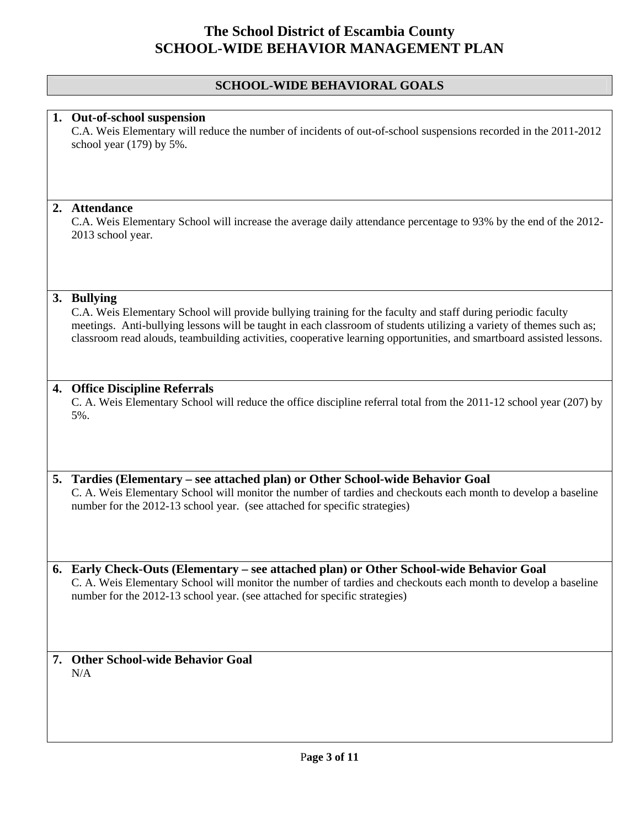## **SCHOOL-WIDE BEHAVIORAL GOALS**

### **1. Out-of-school suspension**

C.A. Weis Elementary will reduce the number of incidents of out-of-school suspensions recorded in the 2011-2012 school year (179) by 5%.

#### **2. Attendance**

C.A. Weis Elementary School will increase the average daily attendance percentage to 93% by the end of the 2012- 2013 school year.

### **3. Bullying**

C.A. Weis Elementary School will provide bullying training for the faculty and staff during periodic faculty meetings. Anti-bullying lessons will be taught in each classroom of students utilizing a variety of themes such as; classroom read alouds, teambuilding activities, cooperative learning opportunities, and smartboard assisted lessons.

### **4. Office Discipline Referrals**

C. A. Weis Elementary School will reduce the office discipline referral total from the 2011-12 school year (207) by 5%.

### **5. Tardies (Elementary – see attached plan) or Other School-wide Behavior Goal**  C. A. Weis Elementary School will monitor the number of tardies and checkouts each month to develop a baseline number for the 2012-13 school year. (see attached for specific strategies)

**6. Early Check-Outs (Elementary – see attached plan) or Other School-wide Behavior Goal**  C. A. Weis Elementary School will monitor the number of tardies and checkouts each month to develop a baseline number for the 2012-13 school year. (see attached for specific strategies)

### **7. Other School-wide Behavior Goal**  N/A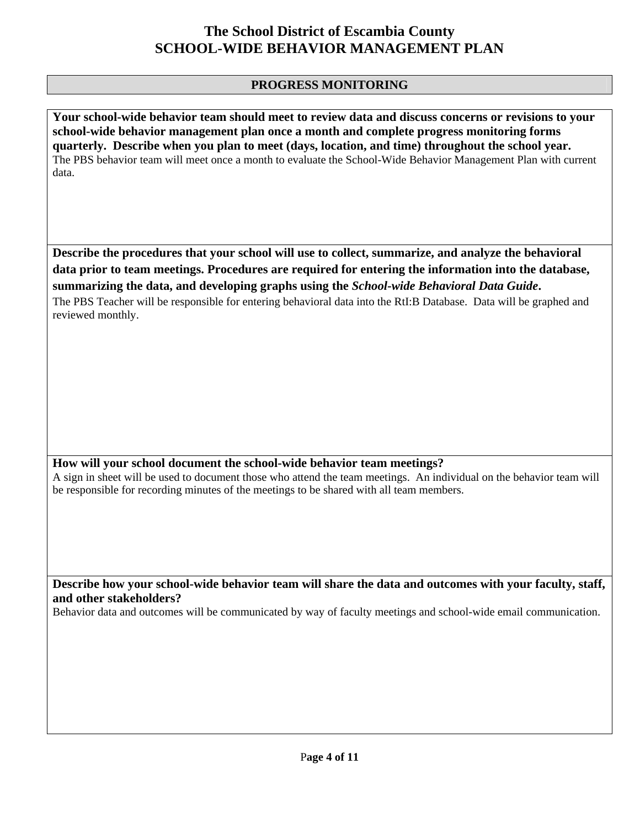## **PROGRESS MONITORING**

**Your school-wide behavior team should meet to review data and discuss concerns or revisions to your school-wide behavior management plan once a month and complete progress monitoring forms quarterly. Describe when you plan to meet (days, location, and time) throughout the school year.**  The PBS behavior team will meet once a month to evaluate the School-Wide Behavior Management Plan with current data.

**Describe the procedures that your school will use to collect, summarize, and analyze the behavioral data prior to team meetings. Procedures are required for entering the information into the database, summarizing the data, and developing graphs using the** *School-wide Behavioral Data Guide***.** 

The PBS Teacher will be responsible for entering behavioral data into the RtI:B Database. Data will be graphed and reviewed monthly.

## **How will your school document the school-wide behavior team meetings?**

A sign in sheet will be used to document those who attend the team meetings. An individual on the behavior team will be responsible for recording minutes of the meetings to be shared with all team members.

**Describe how your school-wide behavior team will share the data and outcomes with your faculty, staff, and other stakeholders?** 

Behavior data and outcomes will be communicated by way of faculty meetings and school-wide email communication.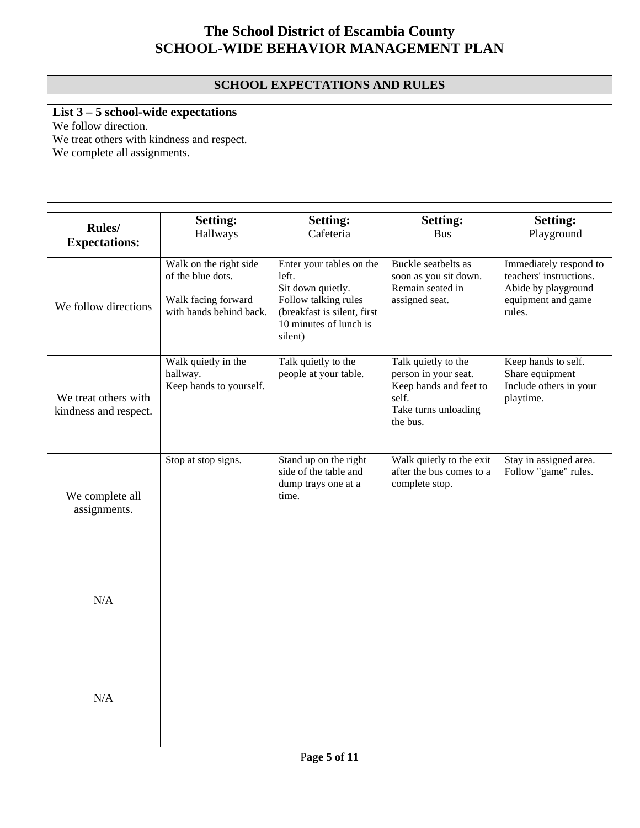## **SCHOOL EXPECTATIONS AND RULES**

# **List 3 – 5 school-wide expectations**

We follow direction.

We treat others with kindness and respect. We complete all assignments.

| Rules/<br><b>Expectations:</b>                | <b>Setting:</b><br>Hallways                                                                   | <b>Setting:</b><br>Cafeteria                                                                                                                       | <b>Setting:</b><br><b>Bus</b>                                                                                      | <b>Setting:</b><br>Playground                                                                            |
|-----------------------------------------------|-----------------------------------------------------------------------------------------------|----------------------------------------------------------------------------------------------------------------------------------------------------|--------------------------------------------------------------------------------------------------------------------|----------------------------------------------------------------------------------------------------------|
| We follow directions                          | Walk on the right side<br>of the blue dots.<br>Walk facing forward<br>with hands behind back. | Enter your tables on the<br>left.<br>Sit down quietly.<br>Follow talking rules<br>(breakfast is silent, first<br>10 minutes of lunch is<br>silent) | Buckle seatbelts as<br>soon as you sit down.<br>Remain seated in<br>assigned seat.                                 | Immediately respond to<br>teachers' instructions.<br>Abide by playground<br>equipment and game<br>rules. |
| We treat others with<br>kindness and respect. | Walk quietly in the<br>hallway.<br>Keep hands to yourself.                                    | Talk quietly to the<br>people at your table.                                                                                                       | Talk quietly to the<br>person in your seat.<br>Keep hands and feet to<br>self.<br>Take turns unloading<br>the bus. | Keep hands to self.<br>Share equipment<br>Include others in your<br>playtime.                            |
| We complete all<br>assignments.               | Stop at stop signs.                                                                           | Stand up on the right<br>side of the table and<br>dump trays one at a<br>time.                                                                     | Walk quietly to the exit<br>after the bus comes to a<br>complete stop.                                             | Stay in assigned area.<br>Follow "game" rules.                                                           |
| N/A                                           |                                                                                               |                                                                                                                                                    |                                                                                                                    |                                                                                                          |
| N/A                                           |                                                                                               |                                                                                                                                                    |                                                                                                                    |                                                                                                          |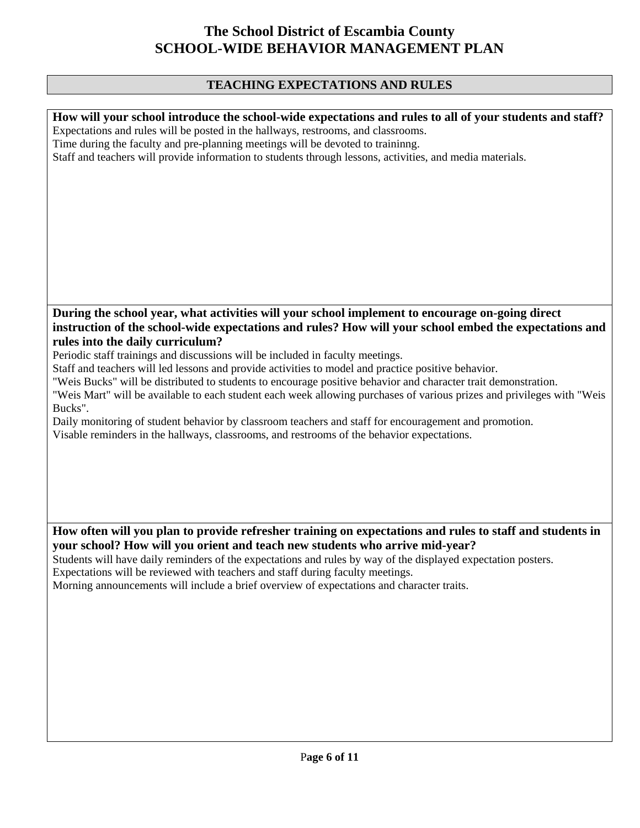## **TEACHING EXPECTATIONS AND RULES**

| How will your school introduce the school-wide expectations and rules to all of your students and staff?<br>Expectations and rules will be posted in the hallways, restrooms, and classrooms.<br>Time during the faculty and pre-planning meetings will be devoted to traininng.<br>Staff and teachers will provide information to students through lessons, activities, and media materials. |
|-----------------------------------------------------------------------------------------------------------------------------------------------------------------------------------------------------------------------------------------------------------------------------------------------------------------------------------------------------------------------------------------------|
|                                                                                                                                                                                                                                                                                                                                                                                               |
|                                                                                                                                                                                                                                                                                                                                                                                               |
| During the school year, what activities will your school implement to encourage on-going direct                                                                                                                                                                                                                                                                                               |
| instruction of the school-wide expectations and rules? How will your school embed the expectations and                                                                                                                                                                                                                                                                                        |
| rules into the daily curriculum?<br>Periodic staff trainings and discussions will be included in faculty meetings.                                                                                                                                                                                                                                                                            |
| Staff and teachers will led lessons and provide activities to model and practice positive behavior.                                                                                                                                                                                                                                                                                           |
| "Weis Bucks" will be distributed to students to encourage positive behavior and character trait demonstration.                                                                                                                                                                                                                                                                                |
| "Weis Mart" will be available to each student each week allowing purchases of various prizes and privileges with "Weis                                                                                                                                                                                                                                                                        |
| Bucks".                                                                                                                                                                                                                                                                                                                                                                                       |
| Daily monitoring of student behavior by classroom teachers and staff for encouragement and promotion.<br>Visable reminders in the hallways, classrooms, and restrooms of the behavior expectations.                                                                                                                                                                                           |
|                                                                                                                                                                                                                                                                                                                                                                                               |
|                                                                                                                                                                                                                                                                                                                                                                                               |
|                                                                                                                                                                                                                                                                                                                                                                                               |
|                                                                                                                                                                                                                                                                                                                                                                                               |
|                                                                                                                                                                                                                                                                                                                                                                                               |
| How often will you plan to provide refresher training on expectations and rules to staff and students in                                                                                                                                                                                                                                                                                      |
| your school? How will you orient and teach new students who arrive mid-year?                                                                                                                                                                                                                                                                                                                  |
| Students will have daily reminders of the expectations and rules by way of the displayed expectation posters.                                                                                                                                                                                                                                                                                 |
| Expectations will be reviewed with teachers and staff during faculty meetings.                                                                                                                                                                                                                                                                                                                |
| Morning announcements will include a brief overview of expectations and character traits.                                                                                                                                                                                                                                                                                                     |
|                                                                                                                                                                                                                                                                                                                                                                                               |
|                                                                                                                                                                                                                                                                                                                                                                                               |
|                                                                                                                                                                                                                                                                                                                                                                                               |
|                                                                                                                                                                                                                                                                                                                                                                                               |
|                                                                                                                                                                                                                                                                                                                                                                                               |
|                                                                                                                                                                                                                                                                                                                                                                                               |
|                                                                                                                                                                                                                                                                                                                                                                                               |
|                                                                                                                                                                                                                                                                                                                                                                                               |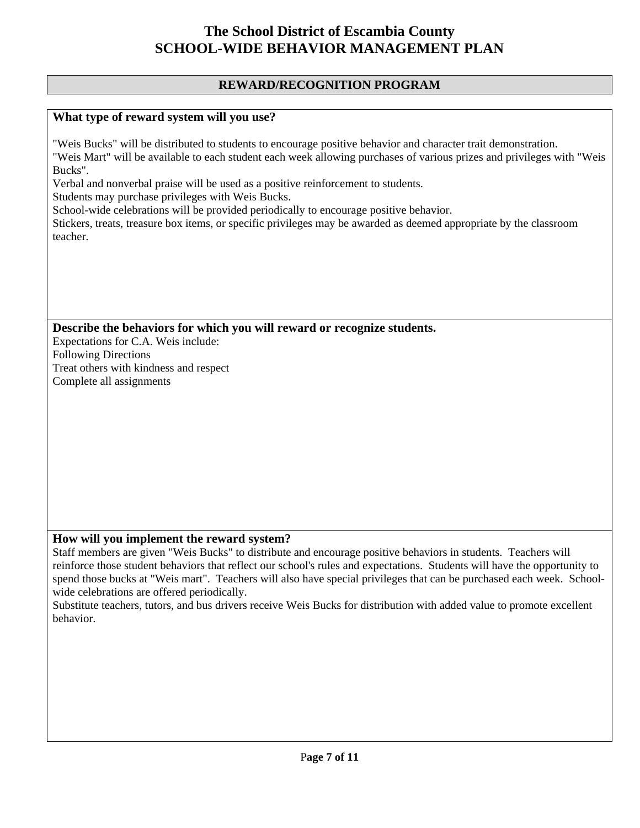## **REWARD/RECOGNITION PROGRAM**

## **What type of reward system will you use?**

"Weis Bucks" will be distributed to students to encourage positive behavior and character trait demonstration. "Weis Mart" will be available to each student each week allowing purchases of various prizes and privileges with "Weis Bucks".

Verbal and nonverbal praise will be used as a positive reinforcement to students.

Students may purchase privileges with Weis Bucks.

School-wide celebrations will be provided periodically to encourage positive behavior.

Stickers, treats, treasure box items, or specific privileges may be awarded as deemed appropriate by the classroom teacher.

**Describe the behaviors for which you will reward or recognize students.** 

Expectations for C.A. Weis include: Following Directions Treat others with kindness and respect Complete all assignments

### **How will you implement the reward system?**

Staff members are given "Weis Bucks" to distribute and encourage positive behaviors in students. Teachers will reinforce those student behaviors that reflect our school's rules and expectations. Students will have the opportunity to spend those bucks at "Weis mart". Teachers will also have special privileges that can be purchased each week. Schoolwide celebrations are offered periodically.

Substitute teachers, tutors, and bus drivers receive Weis Bucks for distribution with added value to promote excellent behavior.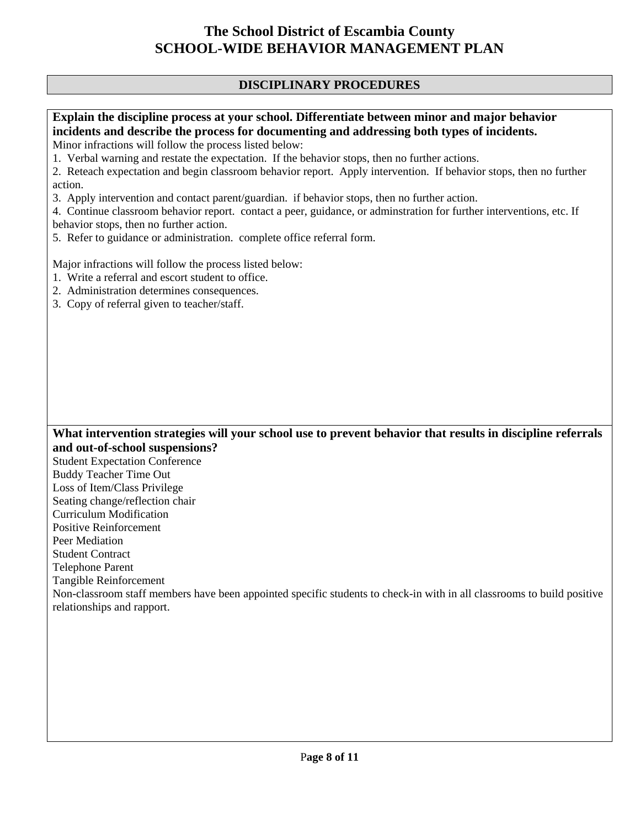## **DISCIPLINARY PROCEDURES**

## **Explain the discipline process at your school. Differentiate between minor and major behavior incidents and describe the process for documenting and addressing both types of incidents.**

Minor infractions will follow the process listed below:

1. Verbal warning and restate the expectation. If the behavior stops, then no further actions.

2. Reteach expectation and begin classroom behavior report. Apply intervention. If behavior stops, then no further action.

3. Apply intervention and contact parent/guardian. if behavior stops, then no further action.

4. Continue classroom behavior report. contact a peer, guidance, or adminstration for further interventions, etc. If behavior stops, then no further action.

5. Refer to guidance or administration. complete office referral form.

Major infractions will follow the process listed below:

- 1. Write a referral and escort student to office.
- 2. Administration determines consequences.
- 3. Copy of referral given to teacher/staff.

### **What intervention strategies will your school use to prevent behavior that results in discipline referrals and out-of-school suspensions?**

Student Expectation Conference Buddy Teacher Time Out Loss of Item/Class Privilege Seating change/reflection chair Curriculum Modification Positive Reinforcement Peer Mediation Student Contract Telephone Parent Tangible Reinforcement

Non-classroom staff members have been appointed specific students to check-in with in all classrooms to build positive relationships and rapport.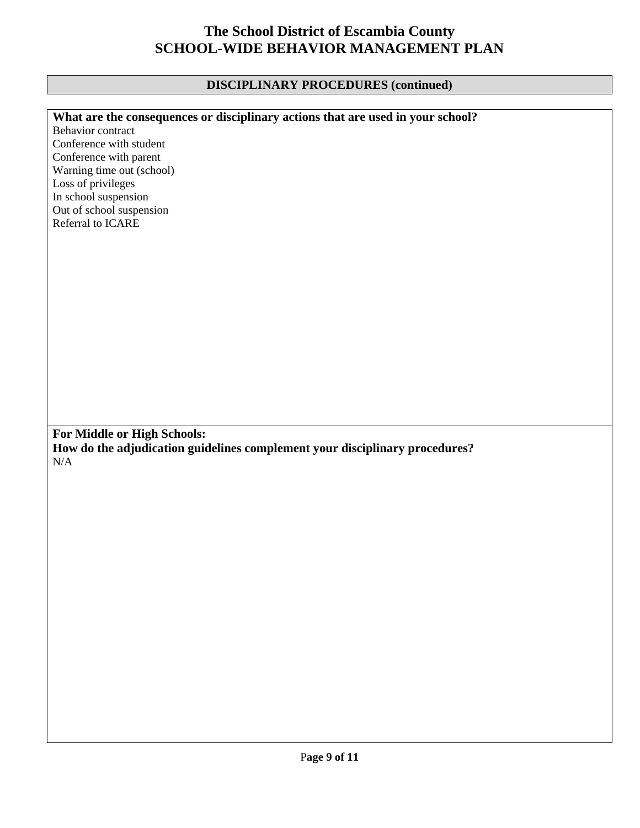## **DISCIPLINARY PROCEDURES (continued)**

| What are the consequences or disciplinary actions that are used in your school? |
|---------------------------------------------------------------------------------|
| Behavior contract                                                               |
| Conference with student                                                         |
| Conference with parent                                                          |
| Warning time out (school)                                                       |
| Loss of privileges                                                              |
| In school suspension                                                            |
| Out of school suspension                                                        |
| Referral to ICARE                                                               |
|                                                                                 |
|                                                                                 |
|                                                                                 |
|                                                                                 |
|                                                                                 |
|                                                                                 |
|                                                                                 |
|                                                                                 |
|                                                                                 |
|                                                                                 |
|                                                                                 |
|                                                                                 |
|                                                                                 |
|                                                                                 |
|                                                                                 |
|                                                                                 |
| For Middle or High Schools:                                                     |
| How do the adjudication guidelines complement your disciplinary procedures?     |
| $\rm N/A$                                                                       |
|                                                                                 |
|                                                                                 |
|                                                                                 |
|                                                                                 |
|                                                                                 |
|                                                                                 |
|                                                                                 |
|                                                                                 |
|                                                                                 |
|                                                                                 |
|                                                                                 |
|                                                                                 |
|                                                                                 |
|                                                                                 |
|                                                                                 |
|                                                                                 |
|                                                                                 |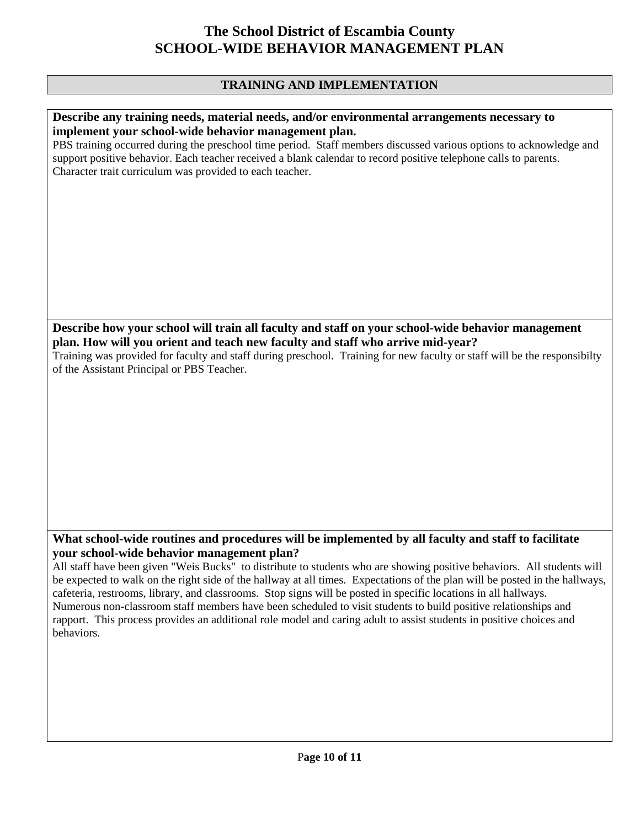## **TRAINING AND IMPLEMENTATION**

### **Describe any training needs, material needs, and/or environmental arrangements necessary to implement your school-wide behavior management plan.**

PBS training occurred during the preschool time period. Staff members discussed various options to acknowledge and support positive behavior. Each teacher received a blank calendar to record positive telephone calls to parents. Character trait curriculum was provided to each teacher.

**Describe how your school will train all faculty and staff on your school-wide behavior management plan. How will you orient and teach new faculty and staff who arrive mid-year?** 

Training was provided for faculty and staff during preschool. Training for new faculty or staff will be the responsibilty of the Assistant Principal or PBS Teacher.

## **What school-wide routines and procedures will be implemented by all faculty and staff to facilitate your school-wide behavior management plan?**

All staff have been given "Weis Bucks" to distribute to students who are showing positive behaviors. All students will be expected to walk on the right side of the hallway at all times. Expectations of the plan will be posted in the hallways, cafeteria, restrooms, library, and classrooms. Stop signs will be posted in specific locations in all hallways. Numerous non-classroom staff members have been scheduled to visit students to build positive relationships and rapport. This process provides an additional role model and caring adult to assist students in positive choices and behaviors.